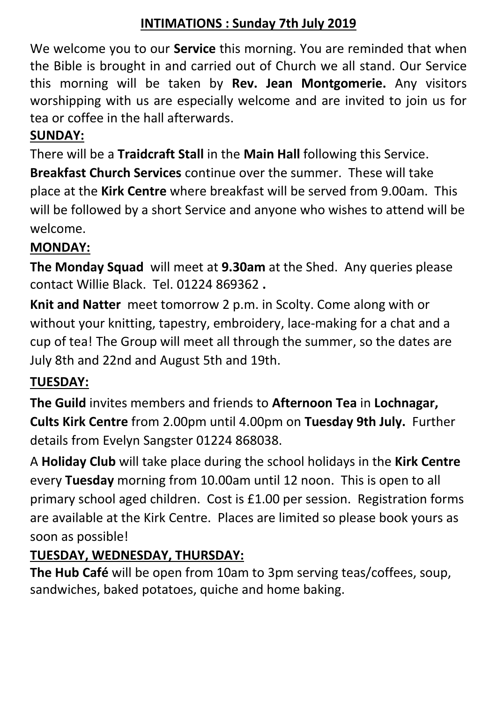### **INTIMATIONS : Sunday 7th July 2019**

We welcome you to our **Service** this morning. You are reminded that when the Bible is brought in and carried out of Church we all stand. Our Service this morning will be taken by **Rev. Jean Montgomerie.** Any visitors worshipping with us are especially welcome and are invited to join us for tea or coffee in the hall afterwards.

## **SUNDAY:**

There will be a **Traidcraft Stall** in the **Main Hall** following this Service.

**Breakfast Church Services** continue over the summer. These will take place at the **Kirk Centre** where breakfast will be served from 9.00am. This will be followed by a short Service and anyone who wishes to attend will be welcome.

## **MONDAY:**

**The Monday Squad** will meet at **9.30am** at the Shed. Any queries please contact Willie Black. Tel. 01224 869362 **.**

**Knit and Natter** meet tomorrow 2 p.m. in Scolty. Come along with or without your knitting, tapestry, embroidery, lace-making for a chat and a cup of tea! The Group will meet all through the summer, so the dates are July 8th and 22nd and August 5th and 19th.

# **TUESDAY:**

**The Guild** invites members and friends to **Afternoon Tea** in **Lochnagar, Cults Kirk Centre** from 2.00pm until 4.00pm on **Tuesday 9th July.** Further details from Evelyn Sangster 01224 868038.

A **Holiday Club** will take place during the school holidays in the **Kirk Centre** every **Tuesday** morning from 10.00am until 12 noon. This is open to all primary school aged children. Cost is £1.00 per session. Registration forms are available at the Kirk Centre. Places are limited so please book yours as soon as possible!

# **TUESDAY, WEDNESDAY, THURSDAY:**

**The Hub Café** will be open from 10am to 3pm serving teas/coffees, soup, sandwiches, baked potatoes, quiche and home baking.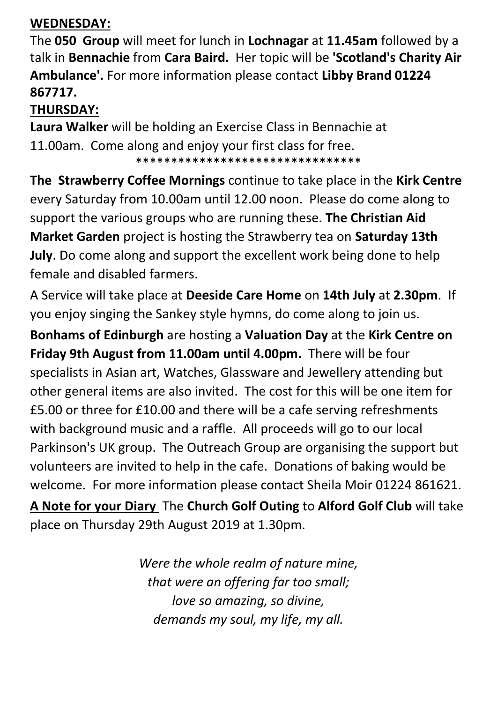### **WEDNESDAY:**

The **050 Group** will meet for lunch in **Lochnagar** at **11.45am** followed by a talk in **Bennachie** from **Cara Baird.** Her topic will be **'Scotland's Charity Air Ambulance'.** For more information please contact **Libby Brand 01224 867717.**

## **THURSDAY:**

**Laura Walker** will be holding an Exercise Class in Bennachie at 11.00am. Come along and enjoy your first class for free. \*\*\*\*\*\*\*\*\*\*\*\*\*\*\*\*\*\*\*\*\*\*\*\*\*\*\*\*\*\*\*\*

**The Strawberry Coffee Mornings** continue to take place in the **Kirk Centre**  every Saturday from 10.00am until 12.00 noon. Please do come along to support the various groups who are running these. **The Christian Aid Market Garden** project is hosting the Strawberry tea on **Saturday 13th July**. Do come along and support the excellent work being done to help female and disabled farmers.

A Service will take place at **Deeside Care Home** on **14th July** at **2.30pm**. If you enjoy singing the Sankey style hymns, do come along to join us.

**Bonhams of Edinburgh** are hosting a **Valuation Day** at the **Kirk Centre on Friday 9th August from 11.00am until 4.00pm.** There will be four specialists in Asian art, Watches, Glassware and Jewellery attending but other general items are also invited. The cost for this will be one item for £5.00 or three for £10.00 and there will be a cafe serving refreshments with background music and a raffle. All proceeds will go to our local Parkinson's UK group. The Outreach Group are organising the support but volunteers are invited to help in the cafe. Donations of baking would be welcome. For more information please contact Sheila Moir 01224 861621. **A Note for your Diary** The **Church Golf Outing** to **Alford Golf Club** will take place on Thursday 29th August 2019 at 1.30pm.

> *Were the whole realm of nature mine, that were an offering far too small; love so amazing, so divine, demands my soul, my life, my all.*